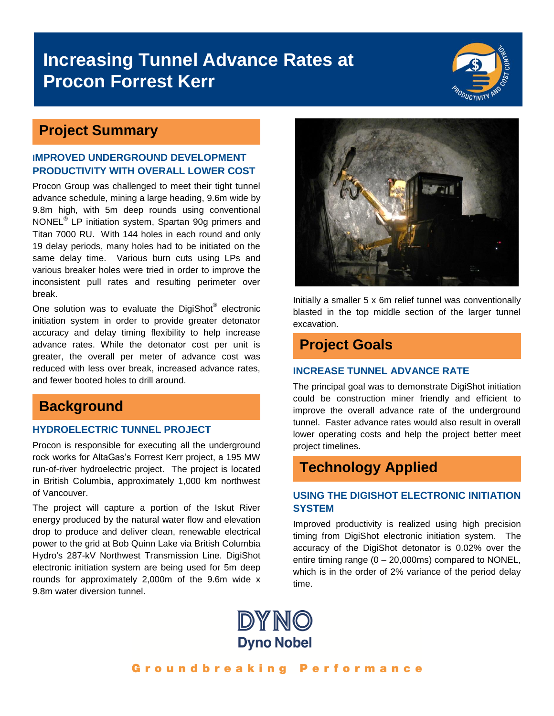# **Increasing Tunnel Advance Rates at Procon Forrest Kerr**



### **Project Summary**

#### **IMPROVED UNDERGROUND DEVELOPMENT PRODUCTIVITY WITH OVERALL LOWER COST**

Procon Group was challenged to meet their tight tunnel advance schedule, mining a large heading, 9.6m wide by 9.8m high, with 5m deep rounds using conventional NONEL<sup>®</sup> LP initiation system, Spartan 90g primers and Titan 7000 RU. With 144 holes in each round and only 19 delay periods, many holes had to be initiated on the same delay time. Various burn cuts using LPs and various breaker holes were tried in order to improve the inconsistent pull rates and resulting perimeter over break.

One solution was to evaluate the DigiShot® electronic initiation system in order to provide greater detonator accuracy and delay timing flexibility to help increase advance rates. While the detonator cost per unit is greater, the overall per meter of advance cost was reduced with less over break, increased advance rates, and fewer booted holes to drill around.

## **Background**

#### **HYDROELECTRIC TUNNEL PROJECT**

Procon is responsible for executing all the underground rock works for AltaGas's Forrest Kerr project, a 195 MW run-of-river hydroelectric project. The project is located in British Columbia, approximately 1,000 km northwest of Vancouver.

The project will capture a portion of the Iskut River energy produced by the natural water flow and elevation drop to produce and deliver clean, renewable electrical power to the grid at Bob Quinn Lake via British Columbia Hydro's 287-kV Northwest Transmission Line. DigiShot electronic initiation system are being used for 5m deep rounds for approximately 2,000m of the 9.6m wide x 9.8m water diversion tunnel.



Initially a smaller 5 x 6m relief tunnel was conventionally blasted in the top middle section of the larger tunnel excavation.

# **Project Goals**

#### **INCREASE TUNNEL ADVANCE RATE**

The principal goal was to demonstrate DigiShot initiation could be construction miner friendly and efficient to improve the overall advance rate of the underground tunnel. Faster advance rates would also result in overall lower operating costs and help the project better meet project timelines.

### **Technology Applied**

#### **USING THE DIGISHOT ELECTRONIC INITIATION SYSTEM**

Improved productivity is realized using high precision timing from DigiShot electronic initiation system. The accuracy of the DigiShot detonator is 0.02% over the entire timing range  $(0 - 20,000 \text{ms})$  compared to NONEL, which is in the order of 2% variance of the period delay time.